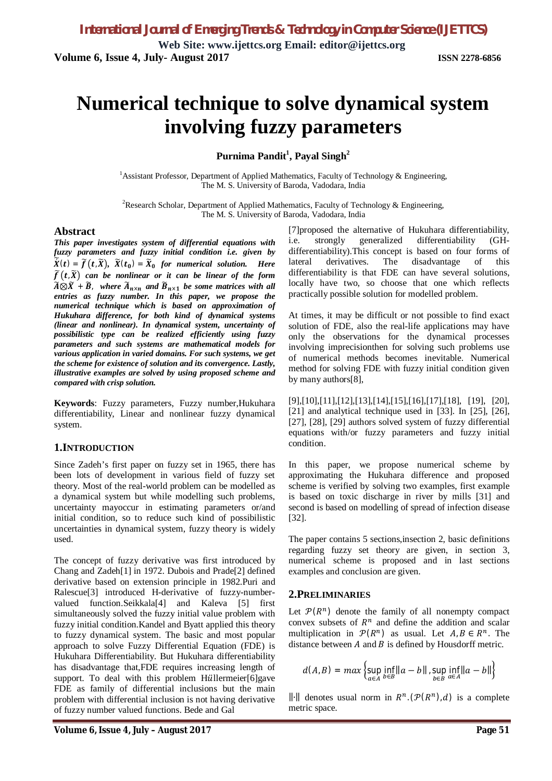# **Numerical technique to solve dynamical system involving fuzzy parameters**

**Purnima Pandit<sup>1</sup> , Payal Singh<sup>2</sup>**

<sup>1</sup> Assistant Professor, Department of Applied Mathematics, Faculty of Technology & Engineering, The M. S. University of Baroda, Vadodara, India

<sup>2</sup>Research Scholar, Department of Applied Mathematics, Faculty of Technology & Engineering, The M. S. University of Baroda, Vadodara, India

#### **Abstract**

*This paper investigates system of differential equations with fuzzy parameters and fuzzy initial condition i.e. given by*   $\widetilde{X}(t) = \widetilde{f}(t, \widetilde{X}), \ \widetilde{X}(t_0) = \widetilde{X}_0$  for numerical solution. Here  $\widetilde{f}(t,\widetilde{X})$  can be nonlinear or it can be linear of the form  $\widetilde{A}\otimes \widetilde{X} + \widetilde{B}$ , where  $\widetilde{A}_{n\times n}$  and  $\widetilde{B}_{n\times 1}$  be some matrices with all *entries as fuzzy number. In this paper, we propose the numerical technique which is based on approximation of Hukuhara difference, for both kind of dynamical systems (linear and nonlinear). In dynamical system, uncertainty of possibilistic type can be realized efficiently using fuzzy parameters and such systems are mathematical models for various application in varied domains. For such systems, we get the scheme for existence of solution and its convergence. Lastly, illustrative examples are solved by using proposed scheme and compared with crisp solution.*

**Keywords**: Fuzzy parameters, Fuzzy number,Hukuhara differentiability, Linear and nonlinear fuzzy dynamical system.

#### **1.INTRODUCTION**

Since Zadeh's first paper on fuzzy set in 1965, there has been lots of development in various field of fuzzy set theory. Most of the real-world problem can be modelled as a dynamical system but while modelling such problems, uncertainty mayoccur in estimating parameters or/and initial condition, so to reduce such kind of possibilistic uncertainties in dynamical system, fuzzy theory is widely used.

The concept of fuzzy derivative was first introduced by Chang and Zadeh[1] in 1972. Dubois and Prade[2] defined derivative based on extension principle in 1982.Puri and Ralescue[3] introduced H-derivative of fuzzy-numbervalued function.Seikkala[4] and Kaleva [5] first simultaneously solved the fuzzy initial value problem with fuzzy initial condition.Kandel and Byatt applied this theory to fuzzy dynamical system. The basic and most popular approach to solve Fuzzy Differential Equation (FDE) is Hukuhara Differentiability. But Hukuhara differentiability has disadvantage that,FDE requires increasing length of support. To deal with this problem Hüllermeier[6]gave FDE as family of differential inclusions but the main problem with differential inclusion is not having derivative of fuzzy number valued functions. Bede and Gal

[7]proposed the alternative of Hukuhara differentiability, i.e. strongly generalized differentiability (GHdifferentiability).This concept is based on four forms of lateral derivatives. The disadvantage of this differentiability is that FDE can have several solutions, locally have two, so choose that one which reflects practically possible solution for modelled problem.

At times, it may be difficult or not possible to find exact solution of FDE, also the real-life applications may have only the observations for the dynamical processes involving imprecisionthen for solving such problems use of numerical methods becomes inevitable. Numerical method for solving FDE with fuzzy initial condition given by many authors[8],

[9],[10],[11],[12],[13],[14],[15],[16],[17],[18], [19], [20], [21] and analytical technique used in [33]. In [25], [26], [27], [28], [29] authors solved system of fuzzy differential equations with/or fuzzy parameters and fuzzy initial condition.

In this paper, we propose numerical scheme by approximating the Hukuhara difference and proposed scheme is verified by solving two examples, first example is based on toxic discharge in river by mills [31] and second is based on modelling of spread of infection disease [32].

The paper contains 5 sections,insection 2, basic definitions regarding fuzzy set theory are given, in section 3, numerical scheme is proposed and in last sections examples and conclusion are given.

### **2.PRELIMINARIES**

Let  $\mathcal{P}(R^n)$  denote the family of all nonempty compact convex subsets of  $R<sup>n</sup>$  and define the addition and scalar multiplication in  $\mathcal{P}(R^n)$  as usual. Let  $A, B \in R^n$ . The distance between  $A$  and  $B$  is defined by Housdorff metric.

$$
d(A, B) = max \left\{ \sup_{a \in A} \inf_{b \in B} ||a - b||, \sup_{b \in B} \inf_{a \in A} ||a - b|| \right\}
$$

⊪∥ denotes usual norm in  $R<sup>n</sup>$ . ( $P(R<sup>n</sup>)$ , d) is a complete metric space.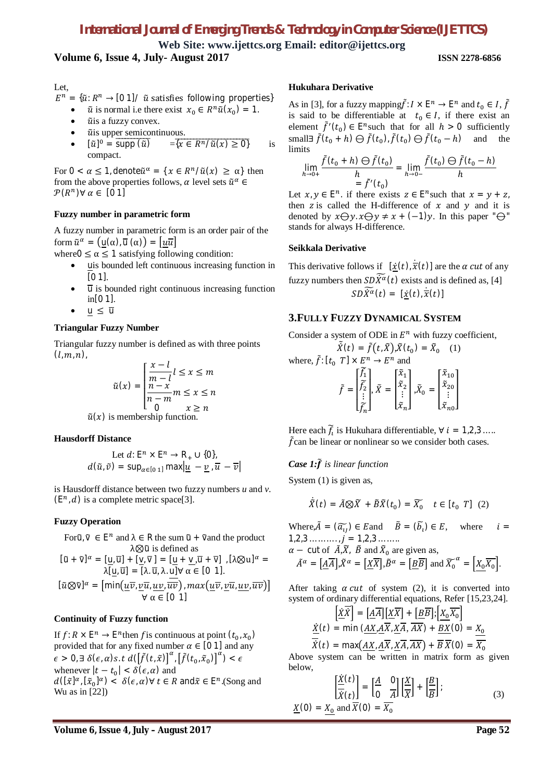**Web Site: www.ijettcs.org Email: editor@ijettcs.org**

# **Volume 6, Issue 4, July- August 2017 ISSN 2278-6856**

Let,

- $E^n = {\tilde{u}: R^n \to [0 1] / \tilde{u}}$  satisfies following properties}
	- $\tilde{u}$  is normal i.e there exist  $x_0 \in R^n \tilde{u}(x_0) = 1$ .
	- $\tilde{u}$ is a fuzzy convex.
	- $\tilde{u}$  is upper semicontinuous.
	- $[\tilde{u}]^0 = \overline{\text{supp}(\tilde{u})}$  $\overline{\supp(\tilde{u})}$  =  $\overline{\{x \in R^n/\tilde{u}(x) \geq 0\}}$  is compact.

For  $0 < \alpha \leq 1$ , denote  $\tilde{u}^{\alpha} = \{ x \in R^n / \tilde{u}(x) \geq \alpha \}$  then from the above properties follows,  $\alpha$  level sets  $\tilde{u}^{\alpha} \in$  $\mathcal{P}(R^n)$  $\forall \alpha \in [0 \ 1]$ 

#### **Fuzzy number in parametric form**

A fuzzy number in parametric form is an order pair of the form  $\tilde{u}^{\alpha} = (\underline{u}(\alpha), \overline{u}(\alpha)) = [\underline{u}\overline{u}]$ 

where  $0 \le \alpha \le 1$  satisfying following condition:

- uis bounded left continuous increasing function in  $[0 1]$ .
- $\overline{u}$  is bounded right continuous increasing function in[0 1].
- $u \leq \overline{u}$

#### **Triangular Fuzzy Number**

Triangular fuzzy number is defined as with three points  $(l, m, n)$ ,

$$
\tilde{u}(x) = \begin{cases}\n\frac{x - l}{m - l}l \leq x \leq m \\
\frac{n - x}{n - m}m \leq x \leq n \\
0 & x \geq n\n\end{cases}
$$
\n
$$
\tilde{u}(x) \text{ is membership function.}
$$

#### **Hausdorff Distance**

Let 
$$
d: E^n \times E^n \to R_+ \cup \{0\}
$$
,  
 $d(\tilde{u}, \tilde{v}) = \sup_{\alpha \in [0, 1]} \max |u - v|, \overline{u} - \overline{v}|$ 

is Hausdorff distance between two fuzzy numbers *u* and *v*.  $(E<sup>n</sup>, d)$  is a complete metric space[3].

### **Fuzzy Operation**

For 
$$
\tilde{u}, \tilde{v} \in E^n
$$
 and  $\lambda \in R$  the sum  $\tilde{u} + \tilde{v}$  and the product  
\n $\lambda \otimes \tilde{u}$  is defined as  
\n
$$
[\tilde{u} + \tilde{v}]^{\alpha} = [\underline{u}, \overline{u}] + [\underline{v}, \overline{v}] = [\underline{u} + \underline{v}, \overline{u} + \overline{v}] , [\lambda \otimes u]^{\alpha} =
$$
\n
$$
\lambda [\underline{u}, \overline{u}] = [\lambda, \overline{u}, \lambda, \underline{u}] \forall \alpha \in [0, 1].
$$
\n
$$
[\tilde{u} \otimes \tilde{v}]^{\alpha} = [\min(\underline{u}\overline{v}, \underline{v}\overline{u}, \underline{uv}, \overline{uv}), \max(\underline{u}\overline{v}, \underline{v}\overline{u}, \underline{uv}, \overline{uv})]
$$
\n
$$
\forall \alpha \in [0, 1]
$$

#### **Continuity of Fuzzy function**

If  $f: R \times \mathbb{E}^n \to \mathbb{E}^n$  then f is continuous at point  $(t_0, x_0)$ provided that for any fixed number  $\alpha \in [0 \ 1]$  and any  $\epsilon > 0$ ,  $\exists \delta(\epsilon, \alpha)$ s. t $d\left(\left[\tilde{f}(t, \tilde{x})\right]^{\alpha}$ ,  $\left[\tilde{f}(t_0, \tilde{x}_0)\right]^{\alpha}\right) < \epsilon$ whenever  $|t - t_0| < \delta(\epsilon, \alpha)$  and  $d([\tilde{x}]^{\alpha}, [\tilde{x}_0]^{\alpha}) < \delta(\epsilon, \alpha) \forall t \in R$  and  $\tilde{x} \in E^n$ . (Song and Wu as in [22])

#### **Hukuhara Derivative**

As in [3], for a fuzzy mapping  $\tilde{f}: I \times \mathbb{E}^n \to \mathbb{E}^n$  and  $t_0 \in I$ ,  $\tilde{f}$ is said to be differentiable at  $t_0 \in I$ , if there exist an element  $\tilde{f}'(t_0) \in E^n$  such that for all  $h > 0$  sufficiently small∃  $\tilde{f}(t_0 + h) \ominus \tilde{f}(t_0)$ ,  $\tilde{f}(t_0) \ominus \tilde{f}(t_0 - h)$  and the limits

$$
\lim_{h \to 0+} \frac{\tilde{f}(t_0 + h) \ominus \tilde{f}(t_0)}{h} = \lim_{h \to 0-} \frac{\tilde{f}(t_0) \ominus \tilde{f}(t_0 - h)}{h}
$$

Let  $x, y \in \mathbb{E}^n$ . if there exists  $z \in \mathbb{E}^n$  such that  $x = y + z$ , then z is called the H-difference of  $x$  and  $y$  and it is denoted by  $x \bigoplus y$ .  $x \bigoplus y \neq x + (-1)y$ . In this paper " $\bigoplus$ " stands for always H-difference.

#### **Seikkala Derivative**

This derivative follows if  $[\underline{\dot{x}}(t), \dot{\overline{x}}(t)]$  are the  $\alpha$  cut of any fuzzy numbers then  $SD\widetilde{X}^{\alpha}(t)$  exists and is defined as, [4]  $SD\widetilde{\dot{X}^{\alpha}}(t) = [\dot{x}(t), \dot{\overline{x}}(t)]$ 

#### **3.FULLY FUZZY DYNAMICAL SYSTEM**

Consider a system of ODE in  $E^n$  with fuzzy coefficient,

$$
\tilde{X}(t) = \tilde{f}(t, \tilde{X}), \tilde{X}(t_0) = \tilde{X}_0 \quad (1)
$$
\nwhere,  $\tilde{f}: [t_0 \ T] \times E^n \to E^n$  and\n
$$
\tilde{f} = \begin{bmatrix} \tilde{f}_1 \\ \tilde{f}_2 \\ \vdots \\ \tilde{f}_n \end{bmatrix}, \tilde{X} = \begin{bmatrix} \tilde{x}_1 \\ \tilde{x}_2 \\ \vdots \\ \tilde{x}_n \end{bmatrix}, \tilde{X}_0 = \begin{bmatrix} \tilde{x}_{10} \\ \tilde{x}_{20} \\ \vdots \\ \tilde{x}_{n0} \end{bmatrix}
$$

Here each  $\widetilde{f}_i$  is Hukuhara differentiable,  $\forall i = 1,2,3...$ ...  $\tilde{f}$ can be linear or nonlinear so we consider both cases.

### *Case 1:*ࢌ ෨*is linear function*

System (1) is given as,

$$
\dot{\tilde{X}}(t) = \tilde{A} \otimes \tilde{X} + \tilde{B}\tilde{X}(t_0) = \tilde{X}_0 \quad t \in [t_0 \ T] \tag{2}
$$

Where,  $\tilde{A} = (\tilde{a}_{ij}) \in E$  and  $\tilde{B} = (\tilde{b}_{i}) \in E$ , where  $i =$  $1,2,3,......, j = 1,2,3...$  $\alpha$  – cut of  $\tilde{A}, \tilde{X}$ ,  $\tilde{B}$  and  $\tilde{X}_0$  are given as,  $\tilde{A}^{\alpha} = \left[ \underline{A} \overline{A} \right], \tilde{X}^{\alpha} = \left[ \underline{X} \overline{X} \right], \tilde{B}^{\alpha} = \left[ \underline{B} \overline{B} \right]$  and  $\widetilde{X_0}^{\alpha} = \left[ X_0 \overline{X_0} \right].$ 

After taking  $\alpha$  *cut* of system (2), it is converted into system of ordinary differential equations, Refer [15,23,24].

$$
\left[\frac{\dot{X}\overline{X}}{\overline{X}}\right] = \left[\underline{A}\overline{A}\right]\left[\underline{X}\overline{X}\right] + \left[\underline{B}\overline{B}\right]; \left[\underline{X_0}\overline{X_0}\right]
$$
\n
$$
\frac{\dot{X}}{\overline{X}(t)} = \min\left(\underline{AX}, \underline{A}\overline{X}, \underline{X}\overline{A}, \overline{AX}\right) + \underline{BX}(0) = \underline{X_0}
$$
\n
$$
\overline{X}(t) = \max\left(\underline{AX}, \underline{A}\overline{X}, \underline{X}\overline{A}, \overline{AX}\right) + \overline{B}\,\overline{X}(0) = \overline{X_0}
$$

Above system can be written in matrix form as given below,  $\mathbb{R}$ 

$$
\frac{\left|\frac{X}{X}(t)\right|}{\left|\frac{X}{X}(t)\right|} = \left[\frac{A}{0} \frac{0}{A}\right] \left[\frac{X}{X}\right] + \left[\frac{B}{B}\right];
$$
\n
$$
\frac{X}{X}(0) = X_0 \text{ and } \overline{X}(0) = \overline{X_0}
$$
\n(3)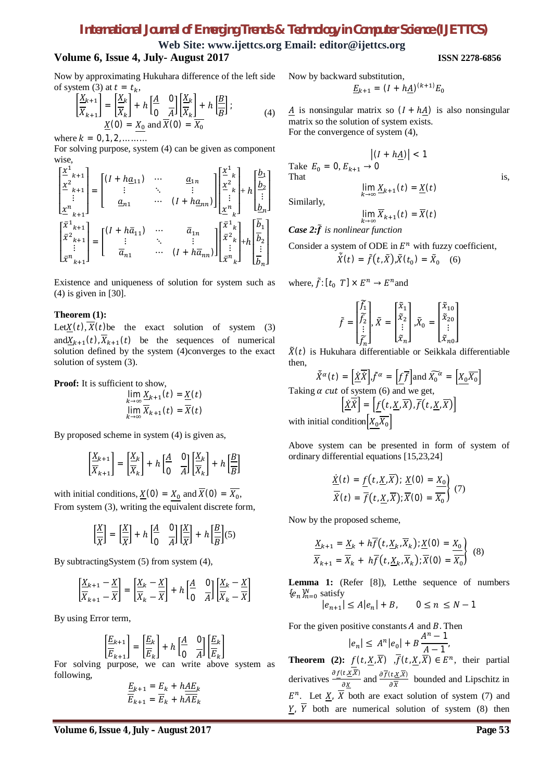**Web Site: www.ijettcs.org Email: editor@ijettcs.org**

# **Volume 6, Issue 4, July- August 2017 ISSN 2278-6856**

Now by approximating Hukuhara difference of the left side of system (3) at  $t = t_k$ ,

$$
\left[\frac{\underline{X}_{k+1}}{\overline{X}_{k+1}}\right] = \left[\frac{\underline{X}_{k}}{\overline{X}_{k}}\right] + h\left[\frac{A}{0} \frac{0}{A}\right] \left[\frac{\underline{X}_{k}}{\overline{X}_{k}}\right] + h\left[\frac{B}{B}\right];
$$
\n(4)\n
$$
\underline{X}(0) = \underline{X}_{0} \text{ and } \overline{X}(0) = \overline{X}_{0}
$$

where  $k = 0, 1, 2, \dots \dots$ 

For solving purpose, system (4) can be given as component wise,

$$
\begin{bmatrix} \frac{x^1}{2} {_{k+1}^2} \\ \frac{x^2}{2} {_{k+1}^2} \end{bmatrix} = \begin{bmatrix} (I + h \underline{a}_{11}) & \cdots & \underline{a}_{1n} \\ \vdots & \ddots & \vdots \\ \underline{a}_{n1} & \cdots & (I + h \underline{a}_{nn}) \end{bmatrix} \begin{bmatrix} \frac{x^1}{2} {_{k}^2} \\ \frac{x^2}{2} {_{k}^2} + h \end{bmatrix} + h \begin{bmatrix} \underline{b}_1 \\ \underline{b}_2 \\ \vdots \\ \underline{b}_n \end{bmatrix}
$$

$$
\begin{bmatrix} \bar{x}^1 {_{k+1}^2} \\ \bar{x}^2 {_{k+1}^2} \\ \vdots & \ddots & \vdots \\ \bar{x}^n {_{k+1}^2} \end{bmatrix} = \begin{bmatrix} (I + h \bar{a}_{11}) & \cdots & \bar{a}_{1n} \\ \vdots & \ddots & \vdots \\ \bar{a}_{n1} & \cdots & (I + h \bar{a}_{nn}) \end{bmatrix} \begin{bmatrix} \bar{x}^1 {_{k}^2} \\ \bar{x}^2 {_{k}^2} \\ \vdots \\ \bar{x}^n {_{k}^2} \end{bmatrix} + h \begin{bmatrix} \bar{b}_1 \\ \bar{b}_2 \\ \vdots \\ \bar{b}_n \end{bmatrix}
$$

Existence and uniqueness of solution for system such as (4) is given in [30].

#### **Theorem (1):**

Let  $X(t)$ ,  $X(t)$  be the exact solution of system (3) and $X_{k+1}(t)$ ,  $X_{k+1}(t)$  be the sequences of numerical solution defined by the system (4)converges to the exact solution of system (3).

Proof: It is sufficient to show,

$$
\lim_{k \to \infty} \frac{X_{k+1}(t)}{\overline{X}_{k+1}(t)} = \frac{X(t)}{\overline{X}(t)}
$$

By proposed scheme in system (4) is given as,

$$
\left[\frac{X_{k+1}}{X_{k+1}}\right] = \left[\frac{X_k}{X_k}\right] + h\left[\frac{A}{0} \quad \frac{0}{A}\right] \left[\frac{X_k}{X_k}\right] + h\left[\frac{B}{B}\right]
$$

with initial conditions,  $\underline{X}(0) = X_0$  and  $\overline{X}(0) = \overline{X_0}$ , From system (3), writing the equivalent discrete form,

$$
\left[\frac{\underline{X}}{\overline{X}}\right] = \left[\frac{\underline{X}}{\overline{X}}\right] + h \left[\frac{A}{0} \quad \frac{0}{A}\right] \left[\frac{\underline{X}}{\overline{X}}\right] + h \left[\frac{B}{B}\right] (5)
$$

By subtractingSystem (5) from system (4),

$$
\left[\frac{X_{k+1} - X}{X_{k+1} - X}\right] = \left[\frac{X_k - X}{X_k - X}\right] + h\left[\frac{A}{0} \quad \frac{0}{A}\right] \left[\frac{X_k - X}{X_k - X}\right]
$$

By using Error term,

$$
\left[\frac{E_{k+1}}{E_{k+1}}\right] = \left[\frac{E_k}{E_k}\right] + h\left[\frac{A}{0} \quad \frac{0}{A}\right] \left[\frac{E_k}{E_k}\right]
$$

For solving purpose, we can write above system as following,

$$
\frac{E_{k+1}}{E_{k+1}} = \frac{E_k + h \underline{A E_k}}{E_k + h \overline{A E_k}}
$$

Now by backward substitution,  $\underline{E}_{k+1} = (I + h\underline{A})^{(k+1)}E_0$ 

$$
\underline{A}
$$
 is nonsingular matrix so  $(I + h\underline{A})$  is also nonsingular matrix so the solution of system exists.

 $|hA\rangle| < 1$ 

For the convergence of system (4),

$$
\left| (I + h\underline{A}) \right| < 1
$$
\nTake  $E_0 = 0$ ,  $E_{k+1} \to 0$ 

\nThat

\n
$$
\lim_{k \to \infty} \underline{X}_{k+1}(t) = \underline{X}(t)
$$
\nis,

Similarly,

$$
\lim_{k\to\infty}\overline{X}_{k+1}(t)=\overline{X}(t)
$$

*Case 2:* $\tilde{f}$  *is nonlinear function* 

Consider a system of ODE in 
$$
E^n
$$
 with fuzzy coefficient,  
\n
$$
\tilde{X}(t) = \tilde{f}(t, \tilde{X}), \tilde{X}(t_0) = \tilde{X}_0
$$
 (6)

where,  $\tilde{f}$ :  $[t_0 \ T] \times E^n \rightarrow E^n$  and

$$
\tilde{f} = \begin{bmatrix} \tilde{f}_1 \\ \tilde{f}_2 \\ \vdots \\ \tilde{f}_n \end{bmatrix}, \tilde{X} = \begin{bmatrix} \tilde{x}_1 \\ \tilde{x}_2 \\ \vdots \\ \tilde{x}_n \end{bmatrix}, \tilde{X}_0 = \begin{bmatrix} \tilde{x}_{10} \\ \tilde{x}_{20} \\ \vdots \\ \tilde{x}_{n0} \end{bmatrix}
$$

 $\tilde{X}(t)$  is Hukuhara differentiable or Seikkala differentiable then,

$$
\tilde{X}^{\alpha}(t) = \left[\underline{\dot{X}}\overline{\dot{X}}\right], \tilde{f}^{\alpha} = \left[\underline{f}\overline{f}\right] \text{and } \widetilde{X_0}^{\alpha} = \left[\underline{X_0}\overline{X_0}\right]
$$

Taking  $\alpha$  cut of system (6) and we get,

ordinary differential equations [15,23,24]

$$
\left[\underline{\dot{X}}\dot{X}\right] = \left[\underline{f(t, \underline{X}, \overline{X})}, \overline{f}(t, \underline{X}, \overline{X})\right]
$$
  
with initial condition  $\left[X_0\overline{X_0}\right]$ 

Above system can be presented in form of system of

$$
\frac{\dot{X}(t) = f(t, \underline{X}, \overline{X}); \underline{X}(0) = \underline{X_0}}{\overline{X}(t) = \overline{f}(t, \underline{X}, \overline{X}); \overline{X}(0) = \overline{X_0}} \tag{7}
$$

Now by the proposed scheme,

$$
\frac{X_{k+1}}{\overline{X}_{k+1}} = \frac{X_k + h\overline{f}(t, \underline{X}_k, \overline{X}_k); \underline{X}(0) = \underline{X}_0}{\overline{X}_{k+1} = \overline{X}_k + h\overline{f}(t, \underline{X}_k, \overline{X}_k); \overline{X}(0) = \overline{X}_0}
$$
(8)

Lemma 1: (Refer [8]), Letthe sequence of numbers  ${e_n}_{n=0}^N$  satisfy

$$
|e_{n+1}| \le A |e_n| + B, \qquad 0 \le n \le N - 1
$$

For the given positive constants  $A$  and  $B$ . Then

$$
|e_n| \le A^n |e_0| + B \frac{A^n - 1}{A - 1}.
$$

**Theorem** (2):  $f(t, \underline{X}, \overline{X})$  ,  $\overline{f}(t, \underline{X}, \overline{X}) \in E^n$ , their partial derivatives  $\frac{\partial f(t, \underline{x}, \overline{x})}{\partial x}$  $\frac{\partial f(t, \underline{x}, \overline{x})}{\partial \underline{x}}$  and  $\frac{\partial f(t, \underline{x}, \overline{x})}{\partial \overline{x}}$  bounded and Lipschitz in  $E^n$ . Let  $\underline{X}$ ,  $\overline{X}$  both are exact solution of system (7) and  $Y$ ,  $\overline{Y}$  both are numerical solution of system (8) then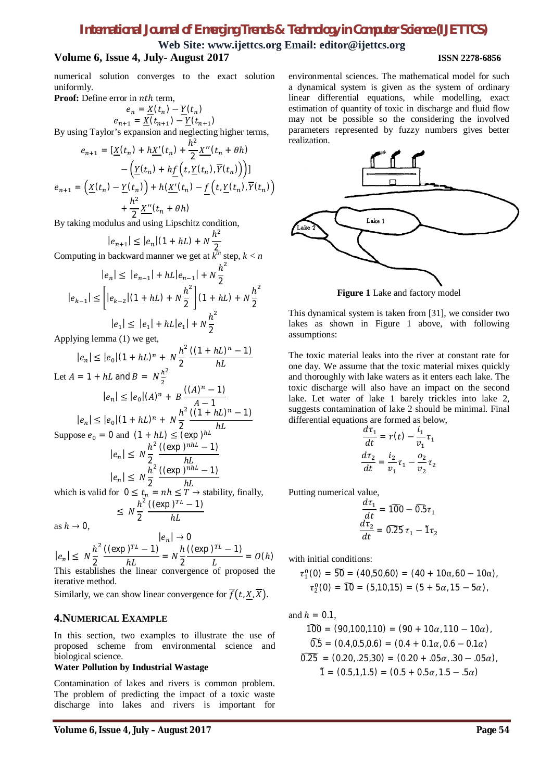**Web Site: www.ijettcs.org Email: editor@ijettcs.org**

# **Volume 6, Issue 4, July- August 2017 ISSN 2278-6856**

numerical solution converges to the exact solution uniformly.

**Proof:** Define error in nth term.

$$
e_n = \underline{X}(t_n) - \underline{Y}(t_n)
$$
  

$$
e_{n+1} = \underline{X}(t_{n+1}) - \underline{Y}(t_{n+1})
$$

By using Taylor's expansion and neglecting higher terms,

$$
e_{n+1} = \left[\underline{X}(t_n) + h\underline{X}'(t_n) + \frac{h^2}{2}\underline{X}''(t_n + \theta h)\right] \\
- \left(\underline{Y}(t_n) + h\underline{f}\left(t, \underline{Y}(t_n), \overline{Y}(t_n)\right)\right)] \\
e_{n+1} = \left(\underline{X}(t_n) - \underline{Y}(t_n)\right) + h(\underline{X}'(t_n) - \underline{f}\left(t, \underline{Y}(t_n), \overline{Y}(t_n)\right) \\
+ \frac{h^2}{2}\underline{X}''(t_n + \theta h)
$$

By taking modulus and using Lipschitz condition,

$$
|e_{n+1}| \le |e_n|(1 + hL) + N\frac{h^2}{2}
$$
  
Computing in backward manner we get at  $k^{th}$  step,  $k < n$ 

$$
|e_n| \le |e_{n-1}| + hL|e_{n-1}| + N\frac{h^2}{2}
$$

$$
|e_{k-1}| \le \left[ |e_{k-2}|(1+hL) + N\frac{h^2}{2} \right](1+hL) + N\frac{h^2}{2}
$$

$$
|e_1| \le |e_1| + hL|e_1| + N\frac{h^2}{2}
$$

Applying lemma (1) we get,

$$
|e_n| \le |e_0|(1 + hL)^n + N\frac{h^2}{2} \frac{((1 + hL)^n - 1)}{hL}
$$
  
Let  $A = 1 + hL$  and  $B = N\frac{h^2}{2}$   

$$
|e_n| \le |e_0|(A)^n + B\frac{((A)^n - 1)}{A - 1}
$$

$$
|e_n| \le |e_0|(1 + hL)^n + N\frac{h^2}{2} \frac{((1 + hL)^n - 1)}{hL}
$$
  
Suppose  $e_0 = 0$  and  $(1 + hL) \le (\exp)^{hL} hL$   

$$
|e_n| \le N\frac{h^2}{2} \frac{((\exp)^{nhL} - 1)}{hL}
$$

$$
|e_n| \le N\frac{h^2}{2} \frac{((\exp)^{nhL} - 1)}{hL}
$$
  
which is valid for  $0 \le t_n = nh \le T \to \text{stability, finally,}$ 
$$
\le N\frac{h^2}{2} \frac{((\exp)^{T} - 1)}{hL}
$$

as  $h \to 0$ .

$$
|e_n| \to 0
$$
  
\n
$$
|e_n| \le N \frac{h^2}{2} \frac{((\exp)^{TL} - 1)}{hL} = N \frac{h}{2} \frac{((\exp)^{TL} - 1)}{L} = O(h)
$$
  
\nThis establishes the linear convergence of proposed the

iterative method.

Similarly, we can show linear convergence for  $\overline{f}(t, X, \overline{X})$ .

#### **4.NUMERICAL EXAMPLE**

In this section, two examples to illustrate the use of proposed scheme from environmental science and biological science.

#### **Water Pollution by Industrial Wastage**

Contamination of lakes and rivers is common problem. The problem of predicting the impact of a toxic waste discharge into lakes and rivers is important for

environmental sciences. The mathematical model for such a dynamical system is given as the system of ordinary linear differential equations, while modelling, exact estimation of quantity of toxic in discharge and fluid flow may not be possible so the considering the involved parameters represented by fuzzy numbers gives better realization.



**Figure 1** Lake and factory model

This dynamical system is taken from [31], we consider two lakes as shown in Figure 1 above, with following assumptions:

The toxic material leaks into the river at constant rate for one day. We assume that the toxic material mixes quickly and thoroughly with lake waters as it enters each lake. The toxic discharge will also have an impact on the second lake. Let water of lake 1 barely trickles into lake 2, suggests contamination of lake 2 should be minimal. Final differential equations are formed as below,

$$
\frac{d\tau_1}{dt} = r(t) - \frac{i_1}{v_1}\tau_1
$$

$$
\frac{d\tau_2}{dt} = \frac{i_2}{v_1}\tau_1 - \frac{o_2}{v_2}\tau_2
$$

Putting numerical value,

$$
\frac{d\tau_1}{dt} = 100 - 0.5\tau_1
$$

$$
\frac{d\tau_2}{dt} = 0.25\tau_1 - 1\tau_2
$$

with initial conditions:

$$
\tau_1^0(0) = \widetilde{50} = (40,50,60) = (40 + 10\alpha, 60 - 10\alpha),
$$
  

$$
\tau_2^0(0) = \widetilde{10} = (5,10,15) = (5 + 5\alpha, 15 - 5\alpha),
$$

and  $h = 0.1$ ,

$$
100 = (90,100,110) = (90 + 10\alpha, 110 - 10\alpha),
$$
  
\n
$$
0.5 = (0.4, 0.5, 0.6) = (0.4 + 0.1\alpha, 0.6 - 0.1\alpha)
$$
  
\n
$$
0.25 = (0.20, .25, 30) = (0.20 + .05\alpha, .30 - .05\alpha),
$$
  
\n
$$
1 = (0.5, 1, 1.5) = (0.5 + 0.5\alpha, 1.5 - .5\alpha)
$$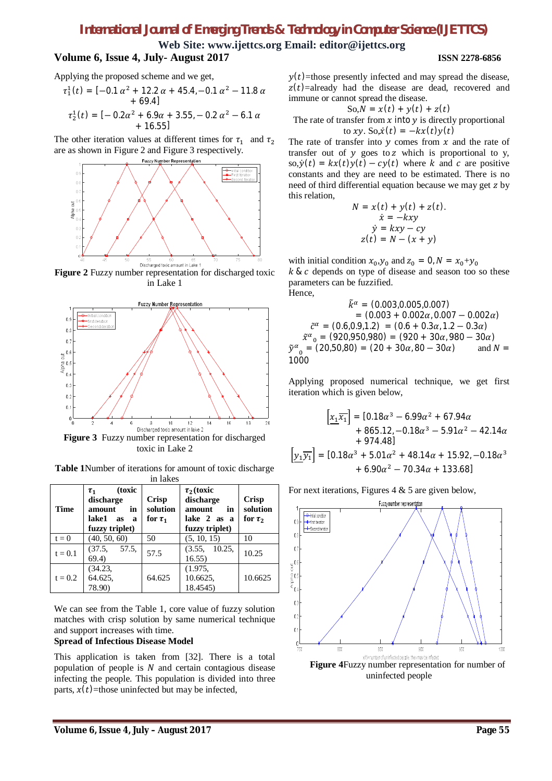$\tilde{y}$ 

**Web Site: www.ijettcs.org Email: editor@ijettcs.org**

# **Volume 6, Issue 4, July- August 2017 ISSN 2278-6856**

Applying the proposed scheme and we get,

$$
\tau_1^1(t) = [-0.1 \alpha^2 + 12.2 \alpha + 45.4, -0.1 \alpha^2 - 11.8 \alpha + 69.4]
$$
  
+ 69.4]  

$$
\tau_2^1(t) = [-0.2 \alpha^2 + 6.9 \alpha + 3.55, -0.2 \alpha^2 - 6.1 \alpha + 16.55]
$$

The other iteration values at different times for  $\tau_1$  and  $\tau_2$ are as shown in Figure 2 and Figure 3 respectively.



**Figure 2** Fuzzy number representation for discharged toxic in Lake 1



toxic in Lake 2

**Table 1**Number of iterations for amount of toxic discharge in lakes

| <b>Time</b> | (toxic<br>$\tau_{1}$<br>discharge<br>in<br>amount<br>lake1 as a<br>fuzzy triplet) | <b>Crisp</b><br>solution<br>for $\tau_1$ | $\tau_2$ (toxic<br>discharge<br>amount<br>in<br>lake 2 as a<br>fuzzy triplet) | <b>Crisp</b><br>solution<br>for $\tau_2$ |
|-------------|-----------------------------------------------------------------------------------|------------------------------------------|-------------------------------------------------------------------------------|------------------------------------------|
| $t = 0$     | (40, 50, 60)                                                                      | 50                                       | (5, 10, 15)                                                                   | 10                                       |
| $t = 0.1$   | (37.5, 57.5,<br>69.4)                                                             | 57.5                                     | (3.55, 10.25,<br>16.55)                                                       | 10.25                                    |
| $t = 0.2$   | (34.23,<br>64.625,<br>78.90)                                                      | 64.625                                   | (1.975,<br>10.6625,<br>18.4545)                                               | 10.6625                                  |

We can see from the Table 1, core value of fuzzy solution matches with crisp solution by same numerical technique and support increases with time.

#### **Spread of Infectious Disease Model**

This application is taken from [32]. There is a total population of people is  $N$  and certain contagious disease infecting the people. This population is divided into three parts,  $x(t)$ =those uninfected but may be infected,

 $y(t)$ =those presently infected and may spread the disease,  $z(t)$ =already had the disease are dead, recovered and immune or cannot spread the disease.

$$
So, N = x(t) + y(t) + z(t)
$$

The rate of transfer from  $x$  into  $y$  is directly proportional to xy. So, $\dot{x}(t) = -kx(t)y(t)$ 

The rate of transfer into  $y$  comes from  $x$  and the rate of transfer out of  $y$  goes to  $z$  which is proportional to  $y$ , so,  $\dot{y}(t) = kx(t)y(t) - cy(t)$  where k and c are positive constants and they are need to be estimated. There is no need of third differential equation because we may get z by this relation,

$$
N = x(t) + y(t) + z(t).
$$
  
\n
$$
\dot{x} = -kxy
$$
  
\n
$$
\dot{y} = kxy - cy
$$
  
\n
$$
z(t) = N - (x + y)
$$

with initial condition  $x_0, y_0$  and  $z_0 = 0$ ,  $N = x_0 + y_0$  $k \& c$  depends on type of disease and season too so these parameters can be fuzzified. Hence,

$$
\tilde{k}^{\alpha} = (0.003, 0.005, 0.007)
$$
\n
$$
= (0.003 + 0.002\alpha, 0.007 - 0.002\alpha)
$$
\n
$$
\tilde{c}^{\alpha} = (0.6, 0.9, 1.2) = (0.6 + 0.3\alpha, 1.2 - 0.3\alpha)
$$
\n
$$
\tilde{x}^{\alpha}{}_{0} = (920, 950, 980) = (920 + 30\alpha, 980 - 30\alpha)
$$
\n
$$
\tilde{y}^{\alpha}{}_{0} = (20, 50, 80) = (20 + 30\alpha, 80 - 30\alpha) \qquad \text{and } N = 1000
$$

Applying proposed numerical technique, we get first iteration which is given below,

$$
\[\frac{x_1 x_1}{x_1}\] = [0.18\alpha^3 - 6.99\alpha^2 + 67.94\alpha
$$
  
+ 865.12, -0.18\alpha^3 - 5.91\alpha^2 - 42.14\alpha  
+ 974.48]\n  

$$
\[\underline{y_1 y_1}\] = [0.18\alpha^3 + 5.01\alpha^2 + 48.14\alpha + 15.92, -0.18\alpha^3
$$
  
+ 6.90\alpha^2 - 70.34\alpha + 133.68]

For next iterations, Figures  $4 \& 5$  are given below,

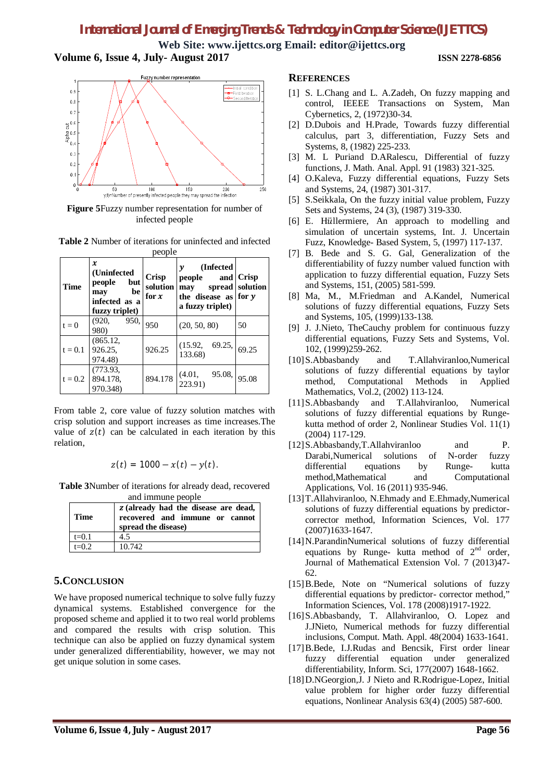**Web Site: www.ijettcs.org Email: editor@ijettcs.org Volume 6, Issue 4, July- August 2017 ISSN 2278-6856**

### Fuzzy number representation -Initial condition<br>-First Iteration<br>-Second Iteratio  $0.9$  $0.8$  $0.7$  $\overline{5}^{0.6}$ ្ត<br>ភូមិ<br>ភូមិ  $\mathbf{0}$  $\mathbf{0}$ 50 100 150 200<br>y(t)=Number of presently infected people, they may spread the infection 250

**Figure 5**Fuzzy number representation for number of infected people

**Table 2** Number of iterations for uninfected and infected

| people    |                                                                                    |                                     |                                                                                       |                                 |  |  |
|-----------|------------------------------------------------------------------------------------|-------------------------------------|---------------------------------------------------------------------------------------|---------------------------------|--|--|
| Time      | x<br>(Uninfected)<br>but<br>people<br>be<br>may<br>infected as a<br>fuzzy triplet) | <b>Crisp</b><br>solution<br>for $x$ | (Infected)<br>γ<br>people<br>and<br>may<br>the disease as for $y$<br>a fuzzy triplet) | <b>Crisp</b><br>spread solution |  |  |
| $t = 0$   | 950,<br>(920, 92)<br>980)                                                          | 950                                 | (20, 50, 80)                                                                          | 50                              |  |  |
| $t = 0.1$ | (865.12,<br>926.25,<br>974.48)                                                     | 926.25                              | (15.92, 69.25, 133.68)                                                                | 69.25                           |  |  |
| $t = 0.2$ | (773.93,<br>894.178.<br>970.348)                                                   | 894.178                             | 95.08,<br>(4.01,<br>223.91)                                                           | 95.08                           |  |  |

From table 2, core value of fuzzy solution matches with crisp solution and support increases as time increases.The value of  $z(t)$  can be calculated in each iteration by this relation,

$$
z(t) = 1000 - x(t) - y(t).
$$

**Table 3**Number of iterations for already dead, recovered

| and immune people |                                                                                               |  |  |  |
|-------------------|-----------------------------------------------------------------------------------------------|--|--|--|
| <b>Time</b>       | z (already had the disease are dead,<br>recovered and immune or cannot<br>spread the disease) |  |  |  |
| $t=0.1$           | 4.5                                                                                           |  |  |  |
| $t=0.2$           | 10.742                                                                                        |  |  |  |

# **5.CONCLUSION**

We have proposed numerical technique to solve fully fuzzy dynamical systems. Established convergence for the proposed scheme and applied it to two real world problems and compared the results with crisp solution. This technique can also be applied on fuzzy dynamical system under generalized differentiability, however, we may not get unique solution in some cases.

## **REFERENCES**

- [1] S. L.Chang and L. A.Zadeh, On fuzzy mapping and control, IEEEE Transactions on System, Man Cybernetics, 2, (1972)30-34.
- [2] D.Dubois and H.Prade, Towards fuzzy differential calculus, part 3, differentiation, Fuzzy Sets and Systems, 8, (1982) 225-233.
- [3] M. L Puriand D.ARalescu, Differential of fuzzy functions, J. Math. Anal. Appl. 91 (1983) 321-325.
- [4] O.Kaleva, Fuzzy differential equations, Fuzzy Sets and Systems, 24, (1987) 301-317.
- [5] S.Seikkala, On the fuzzy initial value problem, Fuzzy Sets and Systems, 24 (3), (1987) 319-330.
- [6] E. Hüllermiere, An approach to modelling and simulation of uncertain systems, Int. J. Uncertain Fuzz, Knowledge- Based System, 5, (1997) 117-137.
- [7] B. Bede and S. G. Gal, Generalization of the differentiability of fuzzy number valued function with application to fuzzy differential equation, Fuzzy Sets and Systems, 151, (2005) 581-599.
- [8] Ma, M., M.Friedman and A.Kandel, Numerical solutions of fuzzy differential equations, Fuzzy Sets and Systems, 105, (1999)133-138.
- [9] J. J.Nieto, TheCauchy problem for continuous fuzzy differential equations, Fuzzy Sets and Systems, Vol. 102, (1999)259-262.
- [10]S.Abbasbandy and T.Allahviranloo,Numerical solutions of fuzzy differential equations by taylor method, Computational Methods in Applied Mathematics, Vol.2, (2002) 113-124.
- [11]S.Abbasbandy and T.Allahviranloo, Numerical solutions of fuzzy differential equations by Rungekutta method of order 2, Nonlinear Studies Vol. 11(1) (2004) 117-129.
- [12] S. Abbasbandy, T. Allahviranloo and P. Darabi,Numerical solutions of N-order fuzzy<br>differential equations by Runge- kutta differential equations by Runge- kutta method,Mathematical and Computational Applications, Vol. 16 (2011) 935-946.
- [13]T.Allahviranloo, N.Ehmady and E.Ehmady,Numerical solutions of fuzzy differential equations by predictorcorrector method, Information Sciences, Vol. 177 (2007)1633-1647.
- [14]N.ParandinNumerical solutions of fuzzy differential equations by Runge- kutta method of  $2<sup>nd</sup>$  order, Journal of Mathematical Extension Vol. 7 (2013)47- 62.
- [15]B.Bede, Note on "Numerical solutions of fuzzy differential equations by predictor- corrector method," Information Sciences, Vol. 178 (2008)1917-1922.
- [16] S.Abbasbandy, T. Allahviranloo, O. Lopez and J.JNieto, Numerical methods for fuzzy differential inclusions, Comput. Math. Appl. 48(2004) 1633-1641.
- [17] B. Bede, I. J. Rudas and Bencsik, First order linear fuzzy differential equation under generalized differentiability, Inform. Sci, 177(2007) 1648-1662.
- [18] D.NGeorgion, J. J Nieto and R.Rodrigue-Lopez, Initial value problem for higher order fuzzy differential equations, Nonlinear Analysis 63(4) (2005) 587-600.